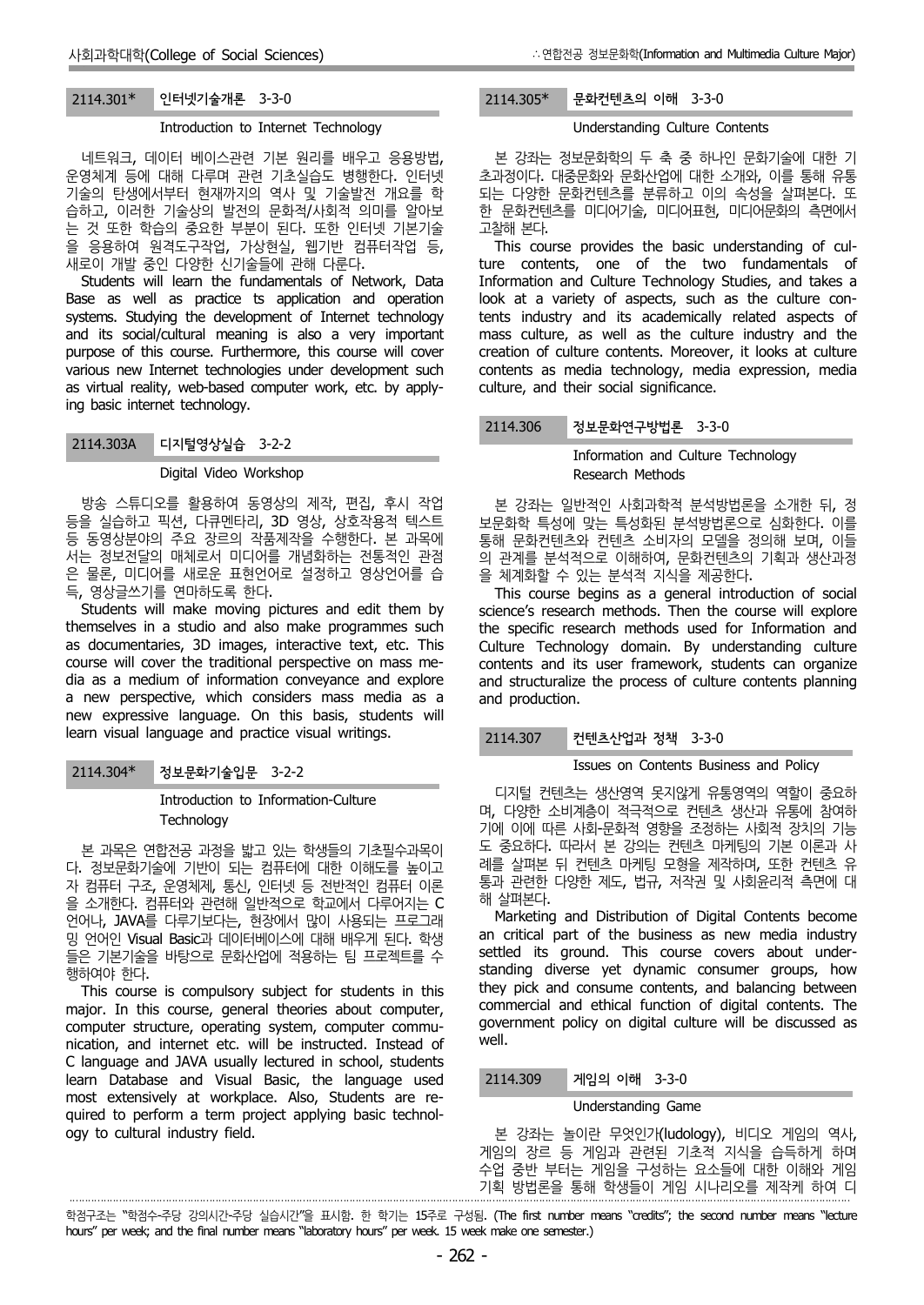## 2114.301\* 인터넷기술개론 3-3-0

## Introduction to Internet Technology

네트워크, 데이터 베이스관련 기본 원리를 배우고 응용방법, 운영체계 등에 대해 다루며 관련 기초실습도 병행한다. 인터넷 기술의 탄생에서부터 현재까지의 역사 및 기술발전 개요를 학 습하고, 이러한 기술상의 발전의 문화적/사회적 의미를 알아보 는 것 또한 학습의 중요한 부분이 된다. 또한 인터넷 기본기술 을 응용하여 원격도구작업, 가상현실, 웹기반 컴퓨터작업 등, 새로이 개발 중인 다양한 신기술들에 관해 다룬다.

Students will learn the fundamentals of Network, Data Base as well as practice ts application and operation systems. Studying the development of Internet technology and its social/cultural meaning is also a very important purpose of this course. Furthermore, this course will cover various new Internet technologies under development such as virtual reality, web-based computer work, etc. by applying basic internet technology.

## 2114.303A 디지털영상실습 3-2-2

#### Digital Video Workshop

방송 스튜디오를 활용하여 동영상의 제작, 편집, 후시 작업 등을 실습하고 픽션, 다큐멘타리, 3D 영상, 상호작용적 텍스트 등 동영상분야의 주요 장르의 작품제작을 수행한다. 본 과목에 서는 정보전달의 매체로서 미디어를 개념화하는 전통적인 관점 은 물론, 미디어를 새로운 표현언어로 설정하고 영상언어를 습 득, 영상글쓰기를 연마하도록 한다.

Students will make moving pictures and edit them by themselves in a studio and also make programmes such as documentaries, 3D images, interactive text, etc. This course will cover the traditional perspective on mass me dia as a medium of information conveyance and explore a new perspective, which considers mass media as a new expressive language. On this basis, students will learn visual language and practice visual writings.

## 2114.304\* 정보문화기술입문 3-2-2

·

Introduction to Information-Culture **Technology** 

본 과목은 연합전공 과정을 밟고 있는 학생들의 기초필수과목이 다. 정보문화기술에 기반이 되는 컴퓨터에 대한 이해도를 높이고 \_\_\_\_ 덴들 알퍼폰 자 컴퓨터 구조, 운영체제, 통신, 인터넷 등 전반적인 컴퓨터 이론 을 소개한다. 컴퓨터와 관련해 일반적으로 학교에서 다루어지는 C 언어나, JAVA를 다루기보다는, 현장에서 많이 사용되는 프로그래 밍 언어인 Visual Basic과 데이터베이스에 대해 배우게 된다. 학생 들은 기본기술을 바탕으로 문화산업에 적용하는 팀 프로젝트를 수 행하여야 한다.

This course is compulsory subject for students in this major. In this course, general theories about computer, computer structure, operating system, computer commu nication, and internet etc. will be instructed. Instead of C language and JAVA usually lectured in school, students learn Database and Visual Basic, the language used most extensively at workplace. Also, Students are re quired to perform a term project applying basic technol ogy to cultural industry field.

# 2114.305\* 문화컨텐츠의 이해 3-3-0

## Understanding Culture Contents

본 강좌는 정보문화학의 두 축 중 하나인 문화기술에 대한 기 초과정이다. 대중문화와 문화산업에 대한 소개와, 이를 통해 유통 되는 다양한 문화컨텐츠를 분류하고 이의 속성을 살펴본다. 또 한 문화컨텐츠를 미디어기술, 미디어표현, 미디어문화의 측면에서 고찰해 본다.

This course provides the basic understanding of culture contents, one of the two fundamentals of Information and Culture Technology Studies, and takes a look at a variety of aspects, such as the culture contents industry and its academically related aspects of mass culture, as well as the culture industry and the creation of culture contents. Moreover, it looks at culture contents as media technology, media expression, media culture, and their social significance.

## 2114.306 정보문화연구방법론 3-3-0

Information and Culture Technology Research Methods

본 강좌는 일반적인 사회과학적 분석방법론을 소개한 뒤, 정 보문화학 특성에 맞는 특성화된 분석방법론으로 심화한다. 이를 통해 문화컨텐츠와 컨텐츠 소비자의 모델을 정의해 보며, 이들 의 관계를 분석적으로 이해하여, 문화컨텐츠의 기획과 생산과정 을 체계화할 수 있는 분석적 지식을 제공한다.

This course begins as a general introduction of social science's research methods. Then the course will explore the specific research methods used for Information and Culture Technology domain. By understanding culture contents and its user framework, students can organize and structuralize the process of culture contents planning and production.

## 2114.307 컨텐츠산업과 정책 3-3-0

### Issues on Contents Business and Policy

디지털 컨텐츠는 생산영역 못지않게 유통영역의 역할이 중요하 며, 다양한 소비계층이 적극적으로 컨텐츠 생산과 유통에 참여하 기에 이에 따른 사회-문화적 영향을 조정하는 사회적 장치의 기능 도 중요하다. 따라서 본 강의는 컨텐츠 마케팅의 기본 이론과 사 례를 살펴본 뒤 컨텐츠 마케팅 모형을 제작하며, 또한 컨텐츠 유 통과 관련한 다양한 제도, 법규, 저작권 및 사회윤리적 측면에 대 해 살펴본다.

Marketing and Distribution of Digital Contents become an critical part of the business as new media industry settled its ground. This course covers about under standing diverse yet dynamic consumer groups, how they pick and consume contents, and balancing between commercial and ethical function of digital contents. The government policy on digital culture will be discussed as well.

## 2114.309 게임의 이해 3-3-0

#### Understanding Game

본 강좌는 놀이란 무엇인가(ludology), 비디오 게임의 역사, 게임의 장르 등 게임과 관련된 기초적 지식을 습득하게 하며 수업 중반 부터는 게임을 구성하는 요소들에 대한 이해와 게임 기획 방법론을 통해 학생들이 게임 시나리오를 제작케 하여 디

학점구조는 "학점수-주당 강의시간-주당 실습시간"을 표시함. 한 학기는 15주로 구성됨. (The first number means "credits"; the second number means "lecture hours" per week; and the final number means "laboratory hours" per week. 15 week make one semester.)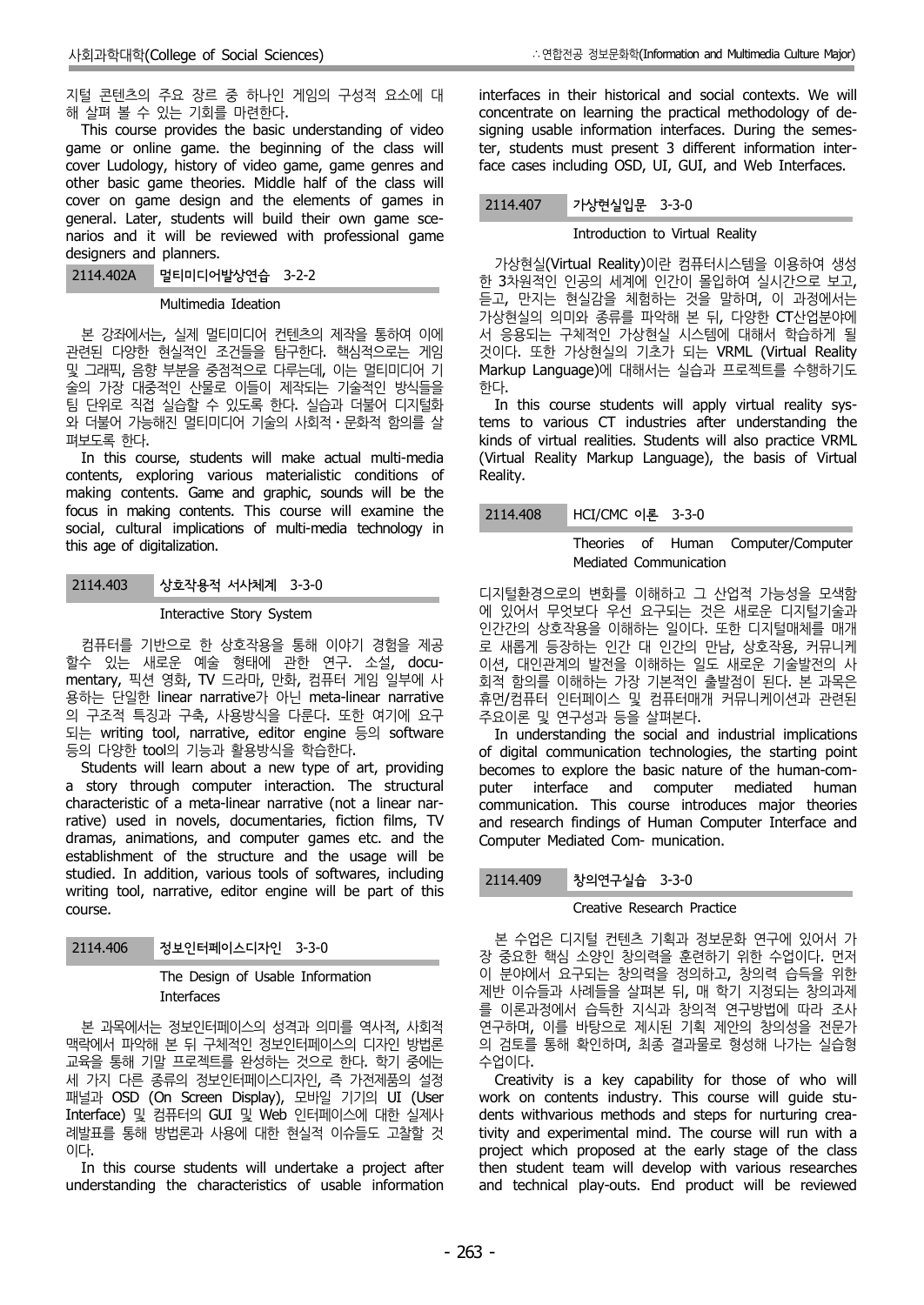지털 콘텐츠의 주요 장르 중 하나인 게임의 구성적 요소에 대 해 살펴 볼 수 있는 기회를 마련한다.

This course provides the basic understanding of video game or online game. the beginning of the class will cover Ludology, history of video game, game genres and other basic game theories. Middle half of the class will cover on game design and the elements of games in general. Later, students will build their own game sce narios and it will be reviewed with professional game designers and planners.

2114.402A 멀티미디어발상연습 3-2-2

## Multimedia Ideation

본 강좌에서는, 실제 멀티미디어 컨텐츠의 제작을 통하여 이에 관련된 다양한 현실적인 조건들을 탐구한다. 핵심적으로는 게임 및 그래픽, 음향 부분을 중점적으로 다루는데, 이는 멀티미디어 기 술의 가장 대중적인 산물로 이들이 제작되는 기술적인 방식들을 팀 단위로 직접 실습할 수 있도록 한다. 실습과 더불어 디지털화 와 더불어 가능해진 멀티미디어 기술의 사회적⋅문화적 함의를 살 펴보도록 한다.

In this course, students will make actual multi-media contents, exploring various materialistic conditions of making contents. Game and graphic, sounds will be the focus in making contents. This course will examine the social, cultural implications of multi-media technology in this age of digitalization.

## 2114.403 상호작용적 서사체계 3-3-0

## Interactive Story System

컴퓨터를 기반으로 한 상호작용을 통해 이야기 경험을 제공 할수 있는 새로운 예술 형태에 관한 연구. 소설, docu mentary, 픽션 영화, TV 드라마, 만화, 컴퓨터 게임 일부에 사 용하는 단일한 linear narrative가 아닌 meta-linear narrative 의 구조적 특징과 구축, 사용방식을 다룬다. 또한 여기에 요구 되는 writing tool, narrative, editor engine 등의 software 등의 다양한 tool의 기능과 활용방식을 학습한다.

Students will learn about a new type of art, providing a story through computer interaction. The structural buter characteristic of a meta-linear narrative (not a linear narrative) used in novels, documentaries, fiction films, TV dramas, animations, and computer games etc. and the establishment of the structure and the usage will be studied. In addition, various tools of softwares, including writing tool, narrative, editor engine will be part of this course.

2114.406 정보인터페이스디자인 3-3-0

## The Design of Usable Information Interfaces

본 과목에서는 정보인터페이스의 성격과 의미를 역사적, 사회적 맥락에서 파악해 본 뒤 구체적인 정보인터페이스의 디자인 방법론 교육을 통해 기말 프로젝트를 완성하는 것으로 한다. 학기 중에는 세 가지 다른 종류의 정보인터페이스디자인, 즉 가전제품의 설정 패널과 OSD (On Screen Display), 모바일 기기의 UI (User Interface) 및 컴퓨터의 GUI 및 Web 인터페이스에 대한 실제사 례발표를 통해 방법론과 사용에 대한 현실적 이슈들도 고찰할 것 이다.

In this course students will undertake a project after understanding the characteristics of usable information interfaces in their historical and social contexts. We will concentrate on learning the practical methodology of de signing usable information interfaces. During the semester, students must present 3 different information interface cases including OSD, UI, GUI, and Web Interfaces.

## 2114.407 가상현실입문 3-3-0

## Introduction to Virtual Reality

가상현실(Virtual Reality)이란 컴퓨터시스템을 이용하여 생성 한 3차원적인 인공의 세계에 인간이 몰입하여 실시간으로 보고, 듣고, 만지는 현실감을 체험하는 것을 말하며, 이 과정에서는 가상현실의 의미와 종류를 파악해 본 뒤, 다양한 CT산업분야에 서 응용되는 구체적인 가상현실 시스템에 대해서 학습하게 될 것이다. 또한 가상현실의 기초가 되는 VRML (Virtual Reality Markup Language)에 대해서는 실습과 프로젝트를 수행하기도

In this course students will apply virtual reality systems to various CT industries after understanding the kinds of virtual realities. Students will also practice VRML (Virtual Reality Markup Language), the basis of Virtual Reality.

## HCI/CMC 이론 3-3-0

## Theories of Human Computer/Computer Mediated Communication

디지털환경으로의 변화를 이해하고 그 산업적 가능성을 모색함 에 있어서 무엇보다 우선 요구되는 것은 새로운 디지털기술과 인간간의 상호작용을 이해하는 일이다. 또한 디지털매체를 매개 로 새롭게 등장하는 인간 대 인간의 만남, 상호작용, 커뮤니케 이션, 대인관계의 발전을 이해하는 일도 새로운 기술발전의 사 회적 함의를 이해하는 가장 기본적인 출발점이 된다. 본 과목은 휴먼/컴퓨터 인터페이스 및 컴퓨터매개 커뮤니케이션과 관련된 주요이론 및 연구성과 등을 살펴본다.

In understanding the social and industrial implications of digital communication technologies, the starting point becomes to explore the basic nature of the human-com interface and computer mediated human communication. This course introduces major theories and research findings of Human Computer Interface and Computer Mediated Com- munication.

## 2114.409 창의연구실습 3-3-0

## Creative Research Practice

본 수업은 디지털 컨텐츠 기획과 정보문화 연구에 있어서 가 장 중요한 핵심 소양인 창의력을 훈련하기 위한 수업이다. 먼저 이 분야에서 요구되는 창의력을 정의하고, 창의력 습득을 위한 제반 이슈들과 사례들을 살펴본 뒤, 매 학기 지정되는 창의과제 를 이론과정에서 습득한 지식과 창의적 연구방법에 따라 조사 연구하며, 이를 바탕으로 제시된 기획 제안의 창의성을 전문가 의 검토를 통해 확인하며, 최종 결과물로 형성해 나가는 실습형 수업이다.

Creativity is a key capability for those of who will work on contents industry. This course will guide stu dents withvarious methods and steps for nurturing creativity and experimental mind. The course will run with a project which proposed at the early stage of the class then student team will develop with various researches and technical play-outs. End product will be reviewed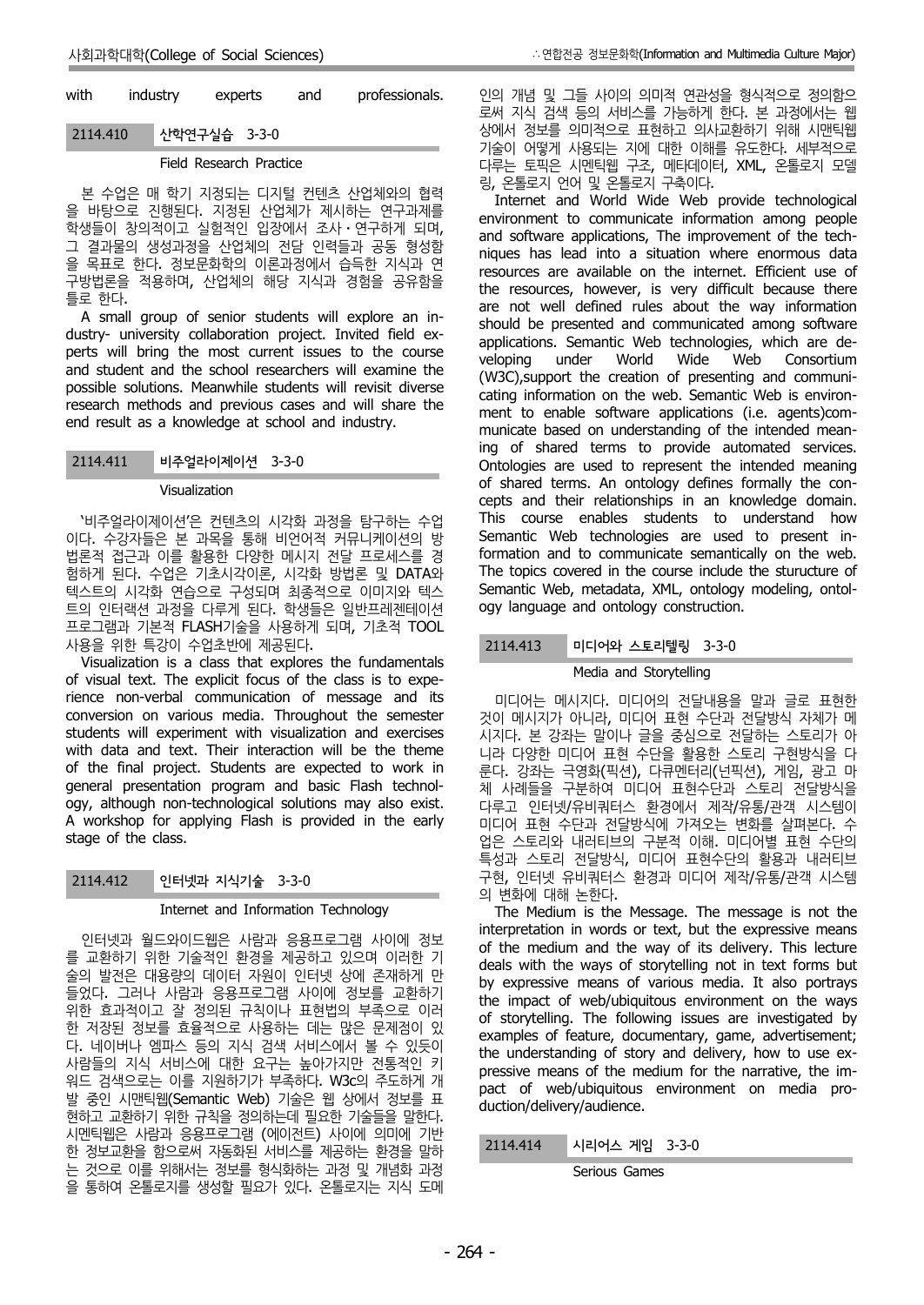| with     | industry | experts      | and | professionals. |
|----------|----------|--------------|-----|----------------|
| 2114.410 |          | 산학연구실습 3-3-0 |     |                |

#### Field Research Practice

본 수업은 매 학기 지정되는 디지털 컨텐츠 산업체와의 협력 을 바탕으로 진행된다. 지정된 산업체가 제시하는 연구과제를 학생들이 창의적이고 실험적인 입장에서 조사⋅연구하게 되며, 그 결과물의 생성과정을 산업체의 전담 인력들과 공동 형성함 을 목표로 한다. 정보문화학의 이론과정에서 습득한 지식과 연 구방법론을 적용하며, 산업체의 해당 지식과 경험을 공유함을 틀로 한다.

A small group of senior students will explore an in dustry- university collaboration project. Invited field ex perts will bring the most current issues to the course beloping and student and the school researchers will examine the possible solutions. Meanwhile students will revisit diverse research methods and previous cases and will share the end result as a knowledge at school and industry.

## 2114.411 비주얼라이제이션 3-3-0

#### Visualization

'비주얼라이제이션'은 컨텐츠의 시각화 과정을 탐구하는 수업 이다. 수강자들은 본 과목을 통해 비언어적 커뮤니케이션의 방 법론적 접근과 이를 활용한 다양한 메시지 전달 프로세스를 경 험하게 된다. 수업은 기초시각이론, 시각화 방법론 및 DATA와 텍스트의 시각화 연습으로 구성되며 최종적으로 이미지와 텍스 트의 인터랙션 과정을 다루게 된다. 학생들은 일반프레젠테이션 프로그램과 기본적 FLASH기술을 사용하게 되며, 기초적 TOOL 사용을 위한 특강이 수업초반에 제공된다. Visualization is a class that explores the fundamentals

of visual text. The explicit focus of the class is to experience non-verbal communication of message and its conversion on various media. Throughout the semester students will experiment with visualization and exercises with data and text. Their interaction will be the theme of the final project. Students are expected to work in general presentation program and basic Flash technol ogy, although non-technological solutions may also exist. A workshop for applying Flash is provided in the early stage of the class.

2114.412 인터넷과 지식기술 3-3-0

#### Internet and Information Technology

인터넷과 월드와이드웹은 사람과 응용프로그램 사이에 정보 를 교환하기 위한 기술적인 환경을 제공하고 있으며 이러한 기 술의 발전은 대용량의 데이터 자원이 인터넷 상에 존재하게 만 들었다. 그러나 사람과 응용프로그램 사이에 정보를 교환하기 위한 효과적이고 잘 정의된 규칙이나 표현법의 부족으로 이러 한 저장된 정보를 효율적으로 사용하는 데는 많은 문제점이 있 다. 네이버나 엠파스 등의 지식 검색 서비스에서 볼 수 있듯이 사람들의 지식 서비스에 대한 요구는 높아가지만 전통적인 키 워드 검색으로는 이를 지원하기가 부족하다. W3c의 주도하게 개 발 중인 시맨틱웹(Semantic Web) 기술은 웹 상에서 정보를 표 현하고 교환하기 위한 규칙을 정의하는데 필요한 기술들을 말한다. 시멘틱웹은 사람과 응용프로그램 (에이전트) 사이에 의미에 기반<br>최 건님구항은 항으로써 긴도한다. 나비스를 캔고한는 항견은 마리 한 정보교환을 함으로써 자동화된 서비스를 제공하는 환경을 말하 는 것으로 이를 위해서는 정보를 형식화하는 과정 및 개념화 과정 을 통하여 온톨로지를 생성할 필요가 있다. 온톨로지는 지식 도메

인의 개념 및 그들 사이의 의미적 연관성을 형식적으로 정의함으 로써 지식 검색 등의 서비스를 가능하게 한다. 본 과정에서는 웹 상에서 정보를 의미적으로 표현하고 의사교환하기 위해 시맨틱웹 기술이 어떻게 사용되는 지에 대한 이해를 유도한다. 세부적으로 다루는 토픽은 시멘틱웹 구조, 메타데이터, XML, 온톨로지 모델

Internet and World Wide Web provide technological environment to communicate information among people and software applications, The improvement of the tech niques has lead into a situation where enormous data resources are available on the internet. Efficient use of the resources, however, is very difficult because there are not well defined rules about the way information should be presented and communicated among software applications. Semantic Web technologies, which are de under World Wide Web Consortium (W3C),support the creation of presenting and communi cating information on the web. Semantic Web is environ ment to enable software applications (i.e. agents)com municate based on understanding of the intended meaning of shared terms to provide automated services. Ontologies are used to represent the intended meaning of shared terms. An ontology defines formally the con cepts and their relationships in an knowledge domain. This course enables students to understand how Semantic Web technologies are used to present information and to communicate semantically on the web. The topics covered in the course include the sturucture of Semantic Web, metadata, XML, ontology modeling, ontol ogy language and ontology construction.

#### 2114.413 미디어와 스토리텔링 3-3-0

## Media and Storytelling

미디어는 메시지다. 미디어의 전달내용을 말과 글로 표현한 것이 메시지가 아니라, 미디어 표현 수단과 전달방식 자체가 메 시지다. 본 강좌는 말이나 글을 중심으로 전달하는 스토리가 아 니라 다양한 미디어 표현 수단을 활용한 스토리 구현방식을 다 룬다. 강좌는 극영화(픽션), 다큐멘터리(넌픽션), 게임, 광고 마 체 사례들을 구분하여 미디어 표현수단과 스토리 전달방식을 다루고 인터넷/유비쿼터스 환경에서 제작/유통/관객 시스템이 미디어 표현 수단과 전달방식에 가져오는 변화를 살펴본다. 수 업은 스토리와 내러티브의 구분적 이해. 미디어별 표현 수단의 특성과 스토리 전달방식, 미디어 표현수단의 활용과 내러티브 구현, 인터넷 유비쿼터스 환경과 미디어 제작/유통/관객 시스템 의 변화에 대해 논한다. The Medium is the Message. The message is not the

interpretation in words or text, but the expressive means of the medium and the way of its delivery. This lecture deals with the ways of storytelling not in text forms but by expressive means of various media. It also portrays the impact of web/ubiquitous environment on the ways of storytelling. The following issues are investigated by examples of feature, documentary, game, advertisement; the understanding of story and delivery, how to use ex pressive means of the medium for the narrative, the im pact of web/ubiquitous environment on media pro duction/delivery/audience.

시리어스 게임 3-3-0

Serious Games